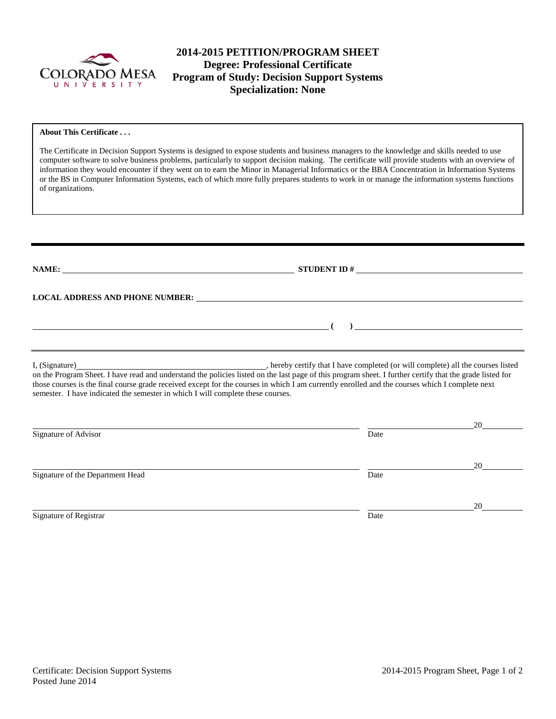

# **2014-2015 PETITION/PROGRAM SHEET Degree: Professional Certificate Program of Study: Decision Support Systems Specialization: None**

#### **About This Certificate . . .**

The Certificate in Decision Support Systems is designed to expose students and business managers to the knowledge and skills needed to use computer software to solve business problems, particularly to support decision making. The certificate will provide students with an overview of information they would encounter if they went on to earn the Minor in Managerial Informatics or the BBA Concentration in Information Systems or the BS in Computer Information Systems, each of which more fully prepares students to work in or manage the information systems functions of organizations.

|                                                                                 | STUDENT ID $#$                                                                                                                                                                                                                                                                                             |    |
|---------------------------------------------------------------------------------|------------------------------------------------------------------------------------------------------------------------------------------------------------------------------------------------------------------------------------------------------------------------------------------------------------|----|
|                                                                                 | LOCAL ADDRESS AND PHONE NUMBER: University of the contract of the contract of the contract of the contract of the contract of the contract of the contract of the contract of the contract of the contract of the contract of                                                                              |    |
|                                                                                 |                                                                                                                                                                                                                                                                                                            |    |
| semester. I have indicated the semester in which I will complete these courses. | on the Program Sheet. I have read and understand the policies listed on the last page of this program sheet. I further certify that the grade listed for<br>those courses is the final course grade received except for the courses in which I am currently enrolled and the courses which I complete next |    |
| Signature of Advisor                                                            | Date                                                                                                                                                                                                                                                                                                       | 20 |
| Signature of the Department Head                                                | Date                                                                                                                                                                                                                                                                                                       | 20 |
| Signature of Registrar                                                          | Date                                                                                                                                                                                                                                                                                                       | 20 |